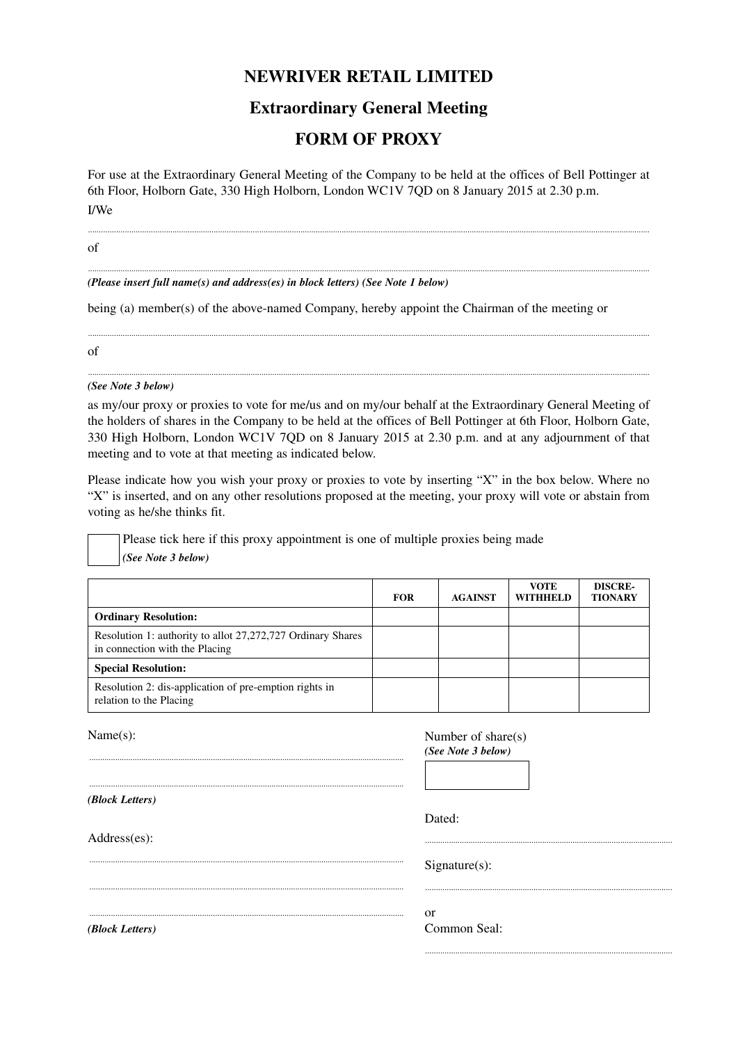# **NEWRIVER RETAIL LIMITED**

## **Extraordinary General Meeting**

### **FORM OF PROXY**

For use at the Extraordinary General Meeting of the Company to be held at the offices of Bell Pottinger at 6th Floor, Holborn Gate, 330 High Holborn, London WC1V 7QD on 8 January 2015 at 2.30 p.m. I/We

...................................................................................................................................................................................................................................................................

...................................................................................................................................................................................................................................................................

...................................................................................................................................................................................................................................................................

...................................................................................................................................................................................................................................................................

of

### *(Please insert full name(s) and address(es) in block letters) (See Note 1 below)*

being (a) member(s) of the above-named Company, hereby appoint the Chairman of the meeting or

of

### *(See Note 3 below)*

as my/our proxy or proxies to vote for me/us and on my/our behalf at the Extraordinary General Meeting of the holders of shares in the Company to be held at the offices of Bell Pottinger at 6th Floor, Holborn Gate, 330 High Holborn, London WC1V 7QD on 8 January 2015 at 2.30 p.m. and at any adjournment of that meeting and to vote at that meeting as indicated below.

Please indicate how you wish your proxy or proxies to vote by inserting "X" in the box below. Where no "X" is inserted, and on any other resolutions proposed at the meeting, your proxy will vote or abstain from voting as he/she thinks fit.

Please tick here if this proxy appointment is one of multiple proxies being made  *(See Note 3 below)*

|                                                                                               | <b>FOR</b> | <b>AGAINST</b> | <b>VOTE</b><br><b>WITHHELD</b> | <b>DISCRE-</b><br><b>TIONARY</b> |
|-----------------------------------------------------------------------------------------------|------------|----------------|--------------------------------|----------------------------------|
| <b>Ordinary Resolution:</b>                                                                   |            |                |                                |                                  |
| Resolution 1: authority to allot 27,272,727 Ordinary Shares<br>in connection with the Placing |            |                |                                |                                  |
| <b>Special Resolution:</b>                                                                    |            |                |                                |                                  |
| Resolution 2: dis-application of pre-emption rights in<br>relation to the Placing             |            |                |                                |                                  |

| Name(s):        | Number of share(s) |
|-----------------|--------------------|
|                 | (See Note 3 below) |
|                 |                    |
|                 |                    |
| (Block Letters) |                    |
|                 | Dated:             |
| Address(es):    |                    |
|                 | $Sigma(s)$ :       |
|                 |                    |
|                 | or                 |
| (Block Letters) | Common Seal:       |
|                 |                    |

..................................................................................................................